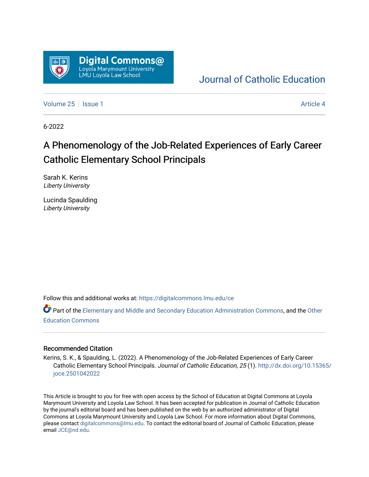

## [Journal of Catholic Education](https://digitalcommons.lmu.edu/ce)

[Volume 25](https://digitalcommons.lmu.edu/ce/vol25) | [Issue 1](https://digitalcommons.lmu.edu/ce/vol25/iss1) Article 4

6-2022

## A Phenomenology of the Job-Related Experiences of Early Career Catholic Elementary School Principals

Sarah K. Kerins Liberty University

Lucinda Spaulding Liberty University

Follow this and additional works at: [https://digitalcommons.lmu.edu/ce](https://digitalcommons.lmu.edu/ce?utm_source=digitalcommons.lmu.edu%2Fce%2Fvol25%2Fiss1%2F4&utm_medium=PDF&utm_campaign=PDFCoverPages)

Part of the [Elementary and Middle and Secondary Education Administration Commons](https://network.bepress.com/hgg/discipline/790?utm_source=digitalcommons.lmu.edu%2Fce%2Fvol25%2Fiss1%2F4&utm_medium=PDF&utm_campaign=PDFCoverPages), and the Other [Education Commons](https://network.bepress.com/hgg/discipline/811?utm_source=digitalcommons.lmu.edu%2Fce%2Fvol25%2Fiss1%2F4&utm_medium=PDF&utm_campaign=PDFCoverPages) 

## Recommended Citation

Kerins, S. K., & Spaulding, L. (2022). A Phenomenology of the Job-Related Experiences of Early Career Catholic Elementary School Principals. Journal of Catholic Education, 25 (1). [http://dx.doi.org/10.15365/](http://dx.doi.org/10.15365/joce.2501042022) [joce.2501042022](http://dx.doi.org/10.15365/joce.2501042022) 

This Article is brought to you for free with open access by the School of Education at Digital Commons at Loyola Marymount University and Loyola Law School. It has been accepted for publication in Journal of Catholic Education by the journal's editorial board and has been published on the web by an authorized administrator of Digital Commons at Loyola Marymount University and Loyola Law School. For more information about Digital Commons, please contact [digitalcommons@lmu.edu](mailto:digitalcommons@lmu.edu). To contact the editorial board of Journal of Catholic Education, please email [JCE@nd.edu](mailto:JCE@nd.edu).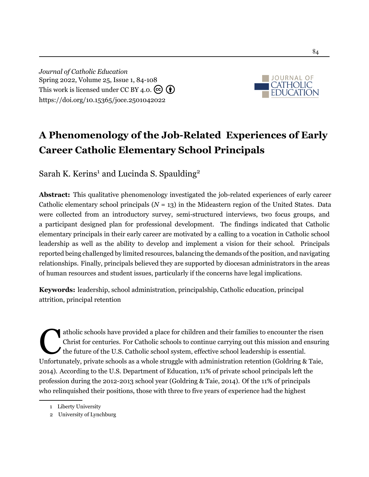*Journal of Catholic Education* Spring 2022, Volume 25, Issue 1, 84[-10](#page-24-0)8 This work is licensed under CC BY 4.0.  $\left(\overline{\mathbf{e}}\right)$ <https://doi.org/10.15365/joce.2501042022>



# **A Phenomenology of the Job-Related Experiences of Early Career Catholic Elementary School Principals**

Sarah K. Kerins<sup>1</sup> and Lucinda S. Spaulding<sup>2</sup>

**Abstract:** This qualitative phenomenology investigated the job-related experiences of early career Catholic elementary school principals  $(N = 13)$  in the Mideastern region of the United States. Data were collected from an introductory survey, semi-structured interviews, two focus groups, and a participant designed plan for professional development. The findings indicated that Catholic elementary principals in their early career are motivated by a calling to a vocation in Catholic school leadership as well as the ability to develop and implement a vision for their school. Principals reported being challenged by limited resources, balancing the demands of the position, and navigating relationships. Finally, principals believed they are supported by diocesan administrators in the areas of human resources and student issues, particularly if the concerns have legal implications.

**Keywords:** leadership, school administration, principalship, Catholic education, principal attrition, principal retention

atholic schools have provided a place for children and their families to encounter the risen<br>Christ for centuries. For Catholic schools to continue carrying out this mission and ensuri<br>the future of the U.S. Catholic schoo atholic schools have provided a place for children and their families to encounter the risen Christ for centuries. For Catholic schools to continue carrying out this mission and ensuring the future of the U.S. Catholic school system, effective school leadership is essential. [2014](#page-22-0)). According to the U.S. Department of Education, 11% of private school principals left the profession during the 2012-2013 school year [\(Goldring & Taie, 2014](#page-22-0)). Of the 11% of principals who relinquished their positions, those with three to five years of experience had the highest

<sup>1</sup> Liberty University

<sup>2</sup> University of Lynchburg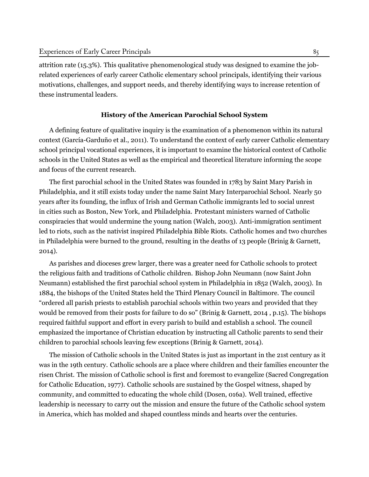attrition rate (15.3%). This qualitative phenomenological study was designed to examine the jobrelated experiences of early career Catholic elementary school principals, identifying their various motivations, challenges, and support needs, and thereby identifying ways to increase retention of these instrumental leaders.

## **History of the American Parochial School System**

A defining feature of qualitative inquiry is the examination of a phenomenon within its natural context [\(García-Garduño et al.](#page-22-1), [2011](#page-22-1)). To understand the context of early career Catholic elementary school principal vocational experiences, it is important to examine the historical context of Catholic schools in the United States as well as the empirical and theoretical literature informing the scope and focus of the current research.

The first parochial school in the United States was founded in 1783 by Saint Mary Parish in Philadelphia, and it still exists today under the name Saint Mary Interparochial School. Nearly 50 years after its founding, the influx of Irish and German Catholic immigrants led to social unrest in cities such as Boston, New York, and Philadelphia. Protestant ministers warned of Catholic conspiracies that would undermine the young nation [\(Walch, 2003\)](#page-25-0). Anti-immigration sentiment led to riots, such as the nativist inspired Philadelphia Bible Riots. Catholic homes and two churches in Philadelphia were burned to the ground, resulting in the deaths of 13 people ([Brinig & Garnett,](#page-21-0) [2014](#page-21-0)).

As parishes and dioceses grew larger, there was a greater need for Catholic schools to protect the religious faith and traditions of Catholic children. Bishop John Neumann (now Saint John Neumann) established the first parochial school system in Philadelphia in 1852 ([Walch](#page-25-0), [2003](#page-25-0)). In 1884, the bishops of the United States held the Third Plenary Council in Baltimore. The council "ordered all parish priests to establish parochial schools within two years and provided that they would be removed from their posts for failure to do so" (Brinig & Garnett, [2014](#page-21-0) , p.15). The bishops required faithful support and effort in every parish to build and establish a school. The council emphasized the importance of Christian education by instructing all Catholic parents to send their children to parochial schools leaving few exceptions [\(Brinig & Garnett, 2014\)](#page-21-0).

The mission of Catholic schools in the United States is just as important in the 21st century as it was in the 19th century. Catholic schools are a place where children and their families encounter the risen Christ. The mission of Catholic school is first and foremost to evangelize (Sacred Congregation for Catholic Education, [1977\)](#page-24-1). Catholic schools are sustained by the Gospel witness, shaped by community, and committed to educating the whole child [\(Dosen, 016a](#page-22-2)). Well trained, effective leadership is necessary to carry out the mission and ensure the future of the Catholic school system in America, which has molded and shaped countless minds and hearts over the centuries.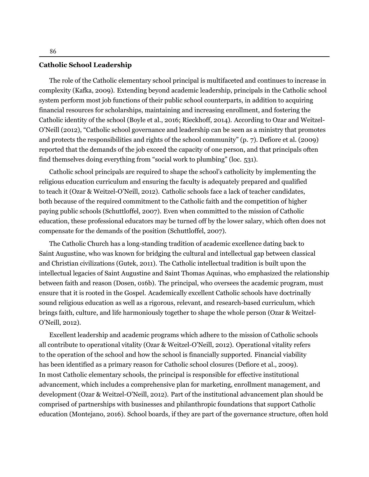#### **Catholic School Leadership**

The role of the Catholic elementary school principal is multifaceted and continues to increase in complexity [\(Kafka](#page-23-0), [2009\)](#page-23-0). Extending beyond academic leadership, principals in the Catholic school system perform most job functions of their public school counterparts, in addition to acquiring financial resources for scholarships, maintaining and increasing enrollment, and fostering the Catholic identity of the school ([Boyle et al.](#page-21-1), [2016;](#page-21-1) [Rieckhoff,](#page-24-2) [2014](#page-24-2)). According to Ozar and Weitzel-O'Neill [\(2012\)](#page-24-3), "Catholic school governance and leadership can be seen as a ministry that promotes and protects the responsibilities and rights of the school community" (p. 7). [Defiore et al.](#page-22-3) [\(2009\)](#page-22-3) reported that the demands of the job exceed the capacity of one person, and that principals often find themselves doing everything from "social work to plumbing" (loc. 531).

Catholic school principals are required to shape the school's catholicity by implementing the religious education curriculum and ensuring the faculty is adequately prepared and qualified to teach it (Ozar & Weitzel-O'Neill, [2012](#page-24-3)). Catholic schools face a lack of teacher candidates, both because of the required commitment to the Catholic faith and the competition of higher paying public schools ([Schuttloffel](#page-25-1), [2007\)](#page-25-1). Even when committed to the mission of Catholic education, these professional educators may be turned off by the lower salary, which often does not compensate for the demands of the position [\(Schuttloffel](#page-25-1), [2007\)](#page-25-1).

The Catholic Church has a long-standing tradition of academic excellence dating back to Saint Augustine, who was known for bridging the cultural and intellectual gap between classical and Christian civilizations [\(Gutek](#page-23-1), [2011\)](#page-23-1). The Catholic intellectual tradition is built upon the intellectual legacies of Saint Augustine and Saint Thomas Aquinas, who emphasized the relationship between faith and reason [\(Dosen,](#page-22-4) [016b](#page-22-4)). The principal, who oversees the academic program, must ensure that it is rooted in the Gospel. Academically excellent Catholic schools have doctrinally sound religious education as well as a rigorous, relevant, and research-based curriculum, which brings faith, culture, and life harmoniously together to shape the whole person (Ozar & Weitzel-O'Neill, [2012\)](#page-24-3).

Excellent leadership and academic programs which adhere to the mission of Catholic schools all contribute to operational vitality (Ozar & Weitzel-O'Neill, [2012](#page-24-3)). Operational vitality refers to the operation of the school and how the school is financially supported. Financial viability has been identified as a primary reason for Catholic school closures ([Defiore et al.](#page-22-3), [2009\)](#page-22-3). In most Catholic elementary schools, the principal is responsible for effective institutional advancement, which includes a comprehensive plan for marketing, enrollment management, and development (Ozar & Weitzel-O'Neill, [2012](#page-24-3)). Part of the institutional advancement plan should be comprised of partnerships with businesses and philanthropic foundations that support Catholic education [\(Montejano,](#page-24-4) [2016\)](#page-24-4). School boards, if they are part of the governance structure, often hold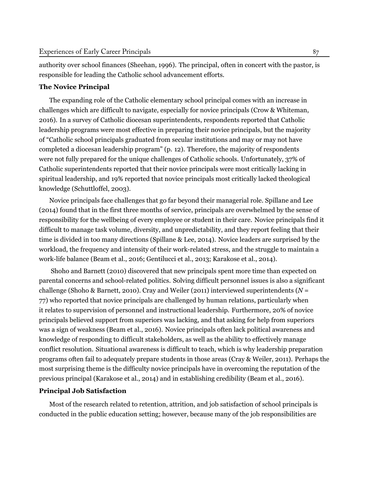authority over school finances [\(Sheehan](#page-25-2), [1996](#page-25-2)). The principal, often in concert with the pastor, is responsible for leading the Catholic school advancement efforts.

## **The Novice Principal**

The expanding role of the Catholic elementary school principal comes with an increase in challenges which are difficult to navigate, especially for novice principals (Crow & [Whiteman,](#page-22-5) [2016](#page-22-5)). In a survey of Catholic diocesan superintendents, respondents reported that Catholic leadership programs were most effective in preparing their novice principals, but the majority of "Catholic school principals graduated from secular institutions and may or may not have completed a diocesan leadership program" (p. 12). Therefore, the majority of respondents were not fully prepared for the unique challenges of Catholic schools. Unfortunately, 37% of Catholic superintendents reported that their novice principals were most critically lacking in spiritual leadership, and 19% reported that novice principals most critically lacked theological knowledge [\(Schuttloffel,](#page-25-3) [2003](#page-25-3)).

Novice principals face challenges that go far beyond their managerial role. [Spillane](#page-25-4) and Lee ([2014\)](#page-25-4) found that in the first three months of service, principals are overwhelmed by the sense of responsibility for the wellbeing of every employee or student in their care. Novice principals find it difficult to manage task volume, diversity, and unpredictability, and they report feeling that their time is divided in too many directions [\(Spillane](#page-25-4) & Lee, [2014\)](#page-25-4). Novice leaders are surprised by the workload, the frequency and intensity of their work-related stress, and the struggle to maintain a work-life balance ([Beam](#page-21-2) et al., [2016](#page-21-2); [Gentilucci](#page-22-6) et al., [2013](#page-22-6); [Karakose](#page-23-2) et al., [2014\)](#page-23-2).

Shoho and [Barnett](#page-25-5) [\(2010\)](#page-25-5) discovered that new principals spent more time than expected on parental concerns and school-related politics. Solving difficult personnel issues is also a significant challenge (Shoho & [Barnett](#page-25-5), [2010\)](#page-25-5). Cray and [Weiler](#page-22-7) ([2011](#page-22-7)) interviewed superintendents (*N* = 77) who reported that novice principals are challenged by human relations, particularly when it relates to supervision of personnel and instructional leadership. Furthermore, 20% of novice principals believed support from superiors was lacking, and that asking for help from superiors was a sign of weakness ([Beam](#page-21-2) et al., [2016\)](#page-21-2). Novice principals often lack political awareness and knowledge of responding to difficult stakeholders, as well as the ability to effectively manage conflict resolution. Situational awareness is difficult to teach, which is why leadership preparation programs often fail to adequately prepare students in those areas (Cray & [Weiler](#page-22-7), [2011\)](#page-22-7). Perhaps the most surprising theme is the difficulty novice principals have in overcoming the reputation of the previous principal ([Karakose](#page-23-2) et al., [2014\)](#page-23-2) and in establishing credibility ([Beam](#page-21-2) et al., [2016](#page-21-2)).

## **Principal Job Satisfaction**

Most of the research related to retention, attrition, and job satisfaction of school principals is conducted in the public education setting; however, because many of the job responsibilities are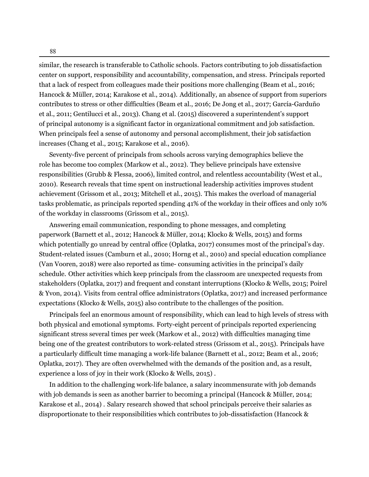similar, the research is transferable to Catholic schools. Factors contributing to job dissatisfaction center on support, responsibility and accountability, compensation, and stress. Principals reported that a lack of respect from colleagues made their positions more challenging ([Beam et al.,](#page-21-2) [2016](#page-21-2); [Hancock & Müller,](#page-23-3) [2014;](#page-23-3) [Karakose et al.,](#page-23-2) [2014\)](#page-23-2). Additionally, an absence of support from superiors contributes to stress or other difficulties ([Beam et al.](#page-21-2), [2016;](#page-21-2) [De Jong et al.](#page-22-8), [2017;](#page-22-8) [García-Garduño](#page-22-1) [et al.](#page-22-1), [2011;](#page-22-1) [Gentilucci et al.,](#page-22-6) [2013\)](#page-22-6). [Chang et al.](#page-21-3) ([2015](#page-21-3)) discovered a superintendent's support of principal autonomy is a significant factor in organizational commitment and job satisfaction. When principals feel a sense of autonomy and personal accomplishment, their job satisfaction increases [\(Chang et al.,](#page-21-3) [2015;](#page-21-3) [Karakose et al.](#page-23-4), [2016](#page-23-4)).

Seventy-five percent of principals from schools across varying demographics believe the role has become too complex ([Markow et al.](#page-23-5), [2012](#page-23-5)). They believe principals have extensive responsibilities [\(Grubb & Flessa,](#page-23-6) [2006\)](#page-23-6), limited control, and relentless accountability [\(West et al.](#page-25-6), [2010\)](#page-25-6). Research reveals that time spent on instructional leadership activities improves student achievement ([Grissom et al.,](#page-22-9) [2013](#page-22-9); [Mitchell et al.,](#page-24-5) [2015\)](#page-24-5). This makes the overload of managerial tasks problematic, as principals reported spending 41% of the workday in their offices and only 10% of the workday in classrooms [\(Grissom et al.,](#page-23-7) [2015\)](#page-23-7).

Answering email communication, responding to phone messages, and completing paperwork [\(Barnett et al.,](#page-21-4) [2012;](#page-21-4) [Hancock & Müller,](#page-23-3) [2014;](#page-23-3) [Klocko & Wells](#page-23-8), [2015\)](#page-23-8) and forms which potentially go unread by central office ([Oplatka](#page-24-6), [2017\)](#page-24-6) consumes most of the principal's day. Student-related issues ([Camburn et al.,](#page-21-5) [2010;](#page-21-5) [Horng et al.,](#page-23-9) [2010\)](#page-23-9) and special education compliance (Van Vooren, [2018\)](#page-25-7) were also reported as time- consuming activities in the principal's daily schedule. Other activities which keep principals from the classroom are unexpected requests from stakeholders ([Oplatka,](#page-24-6) [2017](#page-24-6)) and frequent and constant interruptions [\(Klocko & Wells,](#page-23-8) [2015](#page-23-8); [Poirel](#page-24-7) [& Yvon,](#page-24-7) [2014\)](#page-24-7). Visits from central office administrators [\(Oplatka](#page-24-6), [2017](#page-24-6)) and increased performance expectations [\(Klocko & Wells](#page-23-8), [2015\)](#page-23-8) also contribute to the challenges of the position.

Principals feel an enormous amount of responsibility, which can lead to high levels of stress with both physical and emotional symptoms. Forty-eight percent of principals reported experiencing significant stress several times per week ([Markow et al.](#page-23-5), [2012](#page-23-5)) with difficulties managing time being one of the greatest contributors to work-related stress [\(Grissom et al.](#page-23-7), [2015](#page-23-7)). Principals have a particularly difficult time managing a work-life balance ([Barnett et al.,](#page-21-4) [2012](#page-21-4); [Beam et al.,](#page-21-2) [2016;](#page-21-2) [Oplatka,](#page-24-6) [2017](#page-24-6)). They are often overwhelmed with the demands of the position and, as a result, experience a loss of joy in their work ([Klocko & Wells,](#page-23-8) [2015\)](#page-23-8) .

In addition to the challenging work-life balance, a salary incommensurate with job demands with job demands is seen as another barrier to becoming a principal ([Hancock & Müller](#page-23-3), [2014;](#page-23-3) [Karakose et al.](#page-23-2), [2014\)](#page-23-2) . Salary research showed that school principals perceive their salaries as disproportionate to their responsibilities which contributes to job-dissatisfaction [\(Hancock &](#page-23-3)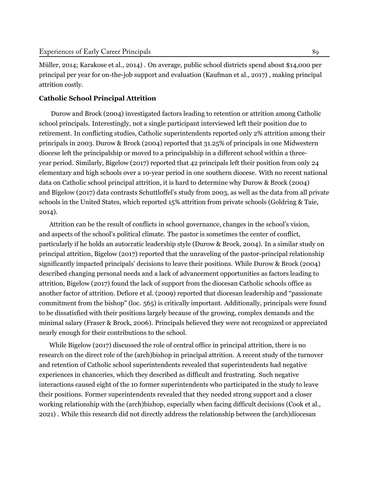[Müller](#page-23-3), [2014](#page-23-3); [Karakose et al.](#page-23-2), [2014](#page-23-2)) . On average, public school districts spend about \$14,000 per principal per year for on-the-job support and evaluation ([Kaufman et al.](#page-23-10), [2017\)](#page-23-10) , making principal attrition costly.

## **Catholic School Principal Attrition**

[Durow and Brock](#page-22-10) ([2004](#page-22-10)) investigated factors leading to retention or attrition among Catholic school principals. Interestingly, not a single participant interviewed left their position due to retirement. In conflicting studies, Catholic superintendents reported only 2% attrition among their principals in 2003. [Durow & Brock](#page-22-10) ([2004](#page-22-10)) reported that 31.25% of principals in one Midwestern diocese left the principalship or moved to a principalship in a different school within a threeyear period. Similarly, [Bigelow](#page-21-6) [\(2017\)](#page-21-6) reported that 42 principals left their position from only 24 elementary and high schools over a 10-year period in one southern diocese. With no recent national data on Catholic school principal attrition, it is hard to determine why [Durow & Brock](#page-22-10) ([2004\)](#page-22-10) and [Bigelow](#page-21-6) ([2017\)](#page-21-6) data contrasts Schuttloffel's study from [2003,](#page-25-3) as well as the data from all private schools in the United States, which reported 15% attrition from private schools [\(Goldring & Taie,](#page-22-0) [2014](#page-22-0)).

Attrition can be the result of conflicts in school governance, changes in the school's vision, and aspects of the school's political climate. The pastor is sometimes the center of conflict, particularly if he holds an autocratic leadership style [\(Durow & Brock,](#page-22-10) [2004\)](#page-22-10). In a similar study on principal attrition, [Bigelow](#page-21-6) [\(2017](#page-21-6)) reported that the unraveling of the pastor-principal relationship significantly impacted principals' decisions to leave their positions. While [Durow & Brock](#page-22-10) [\(2004\)](#page-22-10) described changing personal needs and a lack of advancement opportunities as factors leading to attrition, [Bigelow](#page-21-6) [\(2017](#page-21-6)) found the lack of support from the diocesan Catholic schools office as another factor of attrition. [Defiore et al.](#page-22-3) ([2009\)](#page-22-3) reported that diocesan leadership and "passionate commitment from the bishop" (loc. 565) is critically important. Additionally, principals were found to be dissatisfied with their positions largely because of the growing, complex demands and the minimal salary [\(Fraser & Brock,](#page-22-11) [2006\)](#page-22-11). Principals believed they were not recognized or appreciated nearly enough for their contributions to the school.

While [Bigelow](#page-21-6) ([2017\)](#page-21-6) discussed the role of central office in principal attrition, there is no research on the direct role of the (arch)bishop in principal attrition. A recent study of the turnover and retention of Catholic school superintendents revealed that superintendents had negative experiences in chanceries, which they described as difficult and frustrating. Such negative interactions caused eight of the 10 former superintendents who participated in the study to leave their positions. Former superintendents revealed that they needed strong support and a closer working relationship with the (arch)bishop, especially when facing difficult decisions ([Cook et al.](#page-21-7), [2021](#page-21-7)) . While this research did not directly address the relationship between the (arch)diocesan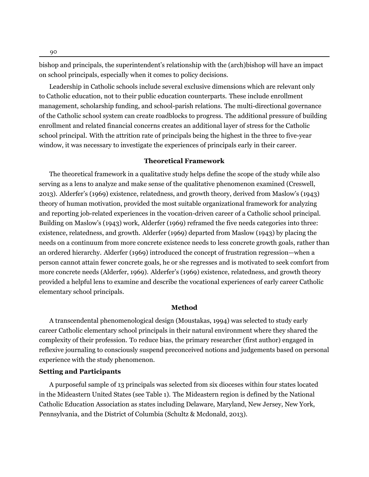bishop and principals, the superintendent's relationship with the (arch)bishop will have an impact on school principals, especially when it comes to policy decisions.

Leadership in Catholic schools include several exclusive dimensions which are relevant only to Catholic education, not to their public education counterparts. These include enrollment management, scholarship funding, and school-parish relations. The multi-directional governance of the Catholic school system can create roadblocks to progress. The additional pressure of building enrollment and related financial concerns creates an additional layer of stress for the Catholic school principal. With the attrition rate of principals being the highest in the three to five-year window, it was necessary to investigate the experiences of principals early in their career.

## **Theoretical Framework**

The theoretical framework in a qualitative study helps define the scope of the study while also serving as a lens to analyze and make sense of the qualitative phenomenon examined [\(Creswell](#page-22-12), [2013](#page-22-12)). Alderfer's [\(1969\)](#page-21-8) existence, relatedness, and growth theory, derived from Maslow's [\(1943](#page-23-11)) theory of human motivation, provided the most suitable organizational framework for analyzing and reporting job-related experiences in the vocation-driven career of a Catholic school principal. Building on Maslow's ([1943\)](#page-23-11) work, Alderfer ([1969](#page-21-8)) reframed the five needs categories into three: existence, relatedness, and growth. Alderfer ([1969](#page-21-8)) departed from Maslow ([1943\)](#page-23-11) by placing the needs on a continuum from more concrete existence needs to less concrete growth goals, rather than an ordered hierarchy. Alderfer ([1969\)](#page-21-8) introduced the concept of frustration regression—when a person cannot attain fewer concrete goals, he or she regresses and is motivated to seek comfort from more concrete needs [\(Alderfer,](#page-21-8) [1969\)](#page-21-8). Alderfer's ([1969\)](#page-21-8) existence, relatedness, and growth theory provided a helpful lens to examine and describe the vocational experiences of early career Catholic elementary school principals.

## **Method**

A transcendental phenomenological design ([Moustakas](#page-24-8), [1994\)](#page-24-8) was selected to study early career Catholic elementary school principals in their natural environment where they shared the complexity of their profession. To reduce bias, the primary researcher (first author) engaged in reflexive journaling to consciously suspend preconceived notions and judgements based on personal experience with the study phenomenon.

#### **Setting and Participants**

A purposeful sample of 13 principals was selected from six dioceses within four states located in the Mideastern United States (see Table 1). The Mideastern region is defined by the National Catholic Education Association as states including Delaware, Maryland, New Jersey, New York, Pennsylvania, and the District of Columbia ([Schultz & Mcdonald,](#page-24-9) [2013\)](#page-24-9).

90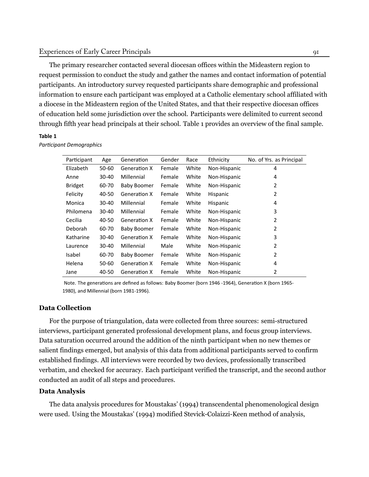## Experiences of Early Career Principals 91

The primary researcher contacted several diocesan offices within the Mideastern region to request permission to conduct the study and gather the names and contact information of potential participants. An introductory survey requested participants share demographic and professional information to ensure each participant was employed at a Catholic elementary school affiliated with a diocese in the Mideastern region of the United States, and that their respective diocesan offices of education held some jurisdiction over the school. Participants were delimited to current second through fifth year head principals at their school. Table 1 provides an overview of the final sample.

#### **Table 1**

*ParƟcipant Demographics*

| Participant    | Age       | Generation          | Gender | Race  | Ethnicity    | No. of Yrs. as Principal |
|----------------|-----------|---------------------|--------|-------|--------------|--------------------------|
| Elizabeth      | $50 - 60$ | <b>Generation X</b> | Female | White | Non-Hispanic | 4                        |
| Anne           | 30-40     | Millennial          | Female | White | Non-Hispanic | 4                        |
| <b>Bridget</b> | 60-70     | <b>Baby Boomer</b>  | Female | White | Non-Hispanic | 2                        |
| Felicity       | 40-50     | Generation X        | Female | White | Hispanic     | 2                        |
| Monica         | 30-40     | Millennial          | Female | White | Hispanic     | 4                        |
| Philomena      | $30 - 40$ | Millennial          | Female | White | Non-Hispanic | 3                        |
| Cecilia        | 40-50     | <b>Generation X</b> | Female | White | Non-Hispanic | 2                        |
| Deborah        | 60-70     | <b>Baby Boomer</b>  | Female | White | Non-Hispanic | 2                        |
| Katharine      | 30-40     | <b>Generation X</b> | Female | White | Non-Hispanic | 3                        |
| Laurence       | 30-40     | Millennial          | Male   | White | Non-Hispanic | 2                        |
| Isabel         | 60-70     | <b>Baby Boomer</b>  | Female | White | Non-Hispanic | 2                        |
| Helena         | 50-60     | <b>Generation X</b> | Female | White | Non-Hispanic | 4                        |
| Jane           | 40-50     | <b>Generation X</b> | Female | White | Non-Hispanic | 2                        |

Note. The generations are defined as follows: Baby Boomer (born 1946 -1964), Generation X (born 1965-1980), and Millennial (born 1981-1996).

## **Data Collection**

For the purpose of triangulation, data were collected from three sources: semi-structured interviews, participant generated professional development plans, and focus group interviews. Data saturation occurred around the addition of the ninth participant when no new themes or salient findings emerged, but analysis of this data from additional participants served to confirm established findings. All interviews were recorded by two devices, professionally transcribed verbatim, and checked for accuracy. Each participant verified the transcript, and the second author conducted an audit of all steps and procedures.

#### **Data Analysis**

The data analysis procedures for Moustakas' [\(1994](#page-24-8)) transcendental phenomenological design were used. Using the Moustakas' ([1994\)](#page-24-8) modified Stevick-Colaizzi-Keen method of analysis,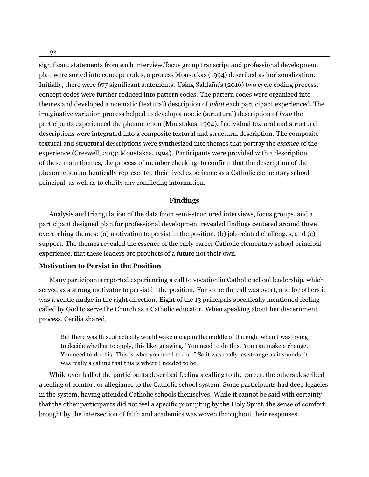significant statements from each interview/focus group transcript and professional development plan were sorted into concept nodes, a process Moustakas ([1994\)](#page-24-8) described as horizonalization. Initially, there were 677 significant statements. Using Saldaña's [\(2016\)](#page-24-10) two cycle coding process, concept codes were further reduced into pattern codes. The pattern codes were organized into themes and developed a noematic (textural) description of *what* each participant experienced. The imaginative variation process helped to develop a noetic (structural) description of *how* the participants experienced the phenomenon ([Moustakas](#page-24-8), [1994\)](#page-24-8). Individual textural and structural descriptions were integrated into a composite textural and structural description. The composite textural and structural descriptions were synthesized into themes that portray the *essence* of the experience [\(Creswell](#page-22-12), [2013;](#page-22-12) [Moustakas,](#page-24-8) [1994\)](#page-24-8). Participants were provided with a description of these main themes, the process of member checking, to confirm that the description of the phenomenon authentically represented their lived experience as a Catholic elementary school principal, as well as to clarify any conflicting information.

#### **Findings**

Analysis and triangulation of the data from semi-structured interviews, focus groups, and a participant designed plan for professional development revealed findings centered around three overarching themes: (a) motivation to persist in the position, (b) job-related challenges, and (c) support. The themes revealed the essence of the early career Catholic elementary school principal experience, that these leaders are prophets of a future not their own.

#### **Motivation to Persist in the Position**

Many participants reported experiencing a call to vocation in Catholic school leadership, which served as a strong motivator to persist in the position. For some the call was overt, and for others it was a gentle nudge in the right direction. Eight of the 13 principals specifically mentioned feeling called by God to serve the Church as a Catholic educator. When speaking about her discernment process, Cecilia shared,

But there was this…it actually would wake me up in the middle of the night when I was trying to decide whether to apply, this like, gnawing, "You need to do this. You can make a change. You need to do this. This is what you need to do…" So it was really, as strange as it sounds, it was really a calling that this is where I needed to be.

While over half of the participants described feeling a calling to the career, the others described a feeling of comfort or allegiance to the Catholic school system. Some participants had deep legacies in the system, having attended Catholic schools themselves. While it cannot be said with certainty that the other participants did not feel a specific prompting by the Holy Spirit, the sense of comfort brought by the intersection of faith and academics was woven throughout their responses.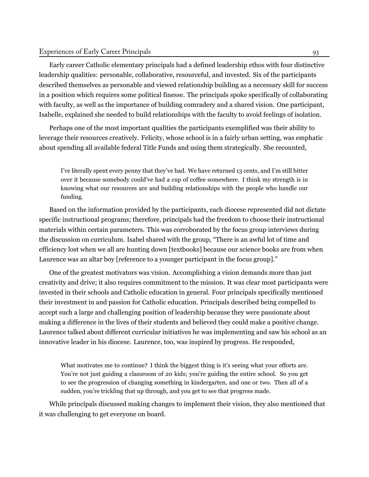Early career Catholic elementary principals had a defined leadership ethos with four distinctive leadership qualities: personable, collaborative, resourceful, and invested. Six of the participants described themselves as personable and viewed relationship building as a necessary skill for success in a position which requires some political finesse. The principals spoke specifically of collaborating with faculty, as well as the importance of building comradery and a shared vision. One participant, Isabelle, explained she needed to build relationships with the faculty to avoid feelings of isolation.

Perhaps one of the most important qualities the participants exemplified was their ability to leverage their resources creatively. Felicity, whose school is in a fairly urban setting, was emphatic about spending all available federal Title Funds and using them strategically. She recounted,

I've literally spent every penny that they've had. We have returned 13 cents, and I'm still bitter over it because somebody could've had a cup of coffee somewhere. I think my strength is in knowing what our resources are and building relationships with the people who handle our funding.

Based on the information provided by the participants, each diocese represented did not dictate specific instructional programs; therefore, principals had the freedom to choose their instructional materials within certain parameters. This was corroborated by the focus group interviews during the discussion on curriculum. Isabel shared with the group, "There is an awful lot of time and efficiency lost when we all are hunting down [textbooks] because our science books are from when Laurence was an altar boy [reference to a younger participant in the focus group]."

One of the greatest motivators was vision. Accomplishing a vision demands more than just creativity and drive; it also requires commitment to the mission. It was clear most participants were invested in their schools and Catholic education in general. Four principals specifically mentioned their investment in and passion for Catholic education. Principals described being compelled to accept such a large and challenging position of leadership because they were passionate about making a difference in the lives of their students and believed they could make a positive change. Laurence talked about different curricular initiatives he was implementing and saw his school as an innovative leader in his diocese. Laurence, too, was inspired by progress. He responded,

What motivates me to continue? I think the biggest thing is it's seeing what your efforts are. You're not just guiding a classroom of 20 kids; you're guiding the entire school. So you get to see the progression of changing something in kindergarten, and one or two. Then all of a sudden, you're trickling that up through, and you get to see that progress made.

While principals discussed making changes to implement their vision, they also mentioned that it was challenging to get everyone on board.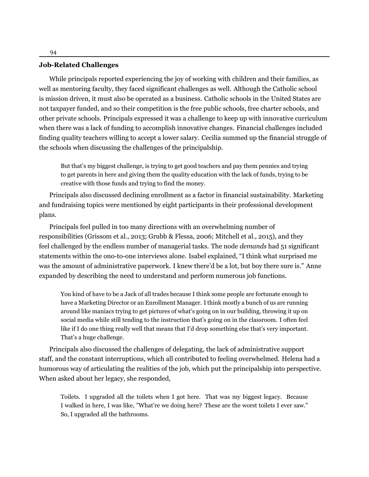#### **Job-Related Challenges**

While principals reported experiencing the joy of working with children and their families, as well as mentoring faculty, they faced significant challenges as well. Although the Catholic school is mission driven, it must also be operated as a business. Catholic schools in the United States are not taxpayer funded, and so their competition is the free public schools, free charter schools, and other private schools. Principals expressed it was a challenge to keep up with innovative curriculum when there was a lack of funding to accomplish innovative changes. Financial challenges included finding quality teachers willing to accept a lower salary. Cecilia summed up the financial struggle of the schools when discussing the challenges of the principalship.

But that's my biggest challenge, is trying to get good teachers and pay them pennies and trying to get parents in here and giving them the quality education with the lack of funds, trying to be creative with those funds and trying to find the money.

Principals also discussed declining enrollment as a factor in financial sustainability. Marketing and fundraising topics were mentioned by eight participants in their professional development plans.

Principals feel pulled in too many directions with an overwhelming number of responsibilities [\(Grissom et al.](#page-22-9), [2013](#page-22-9); [Grubb & Flessa](#page-23-6), [2006](#page-23-6); [Mitchell et al.](#page-24-5), [2015](#page-24-5)), and they feel challenged by the endless number of managerial tasks. The node *demands* had 51 significant statements within the ono-to-one interviews alone. Isabel explained, "I think what surprised me was the amount of administrative paperwork. I knew there'd be a lot, but boy there sure is." Anne expanded by describing the need to understand and perform numerous job functions.

You kind of have to be a Jack of all trades because I think some people are fortunate enough to have a Marketing Director or an Enrollment Manager. I think mostly a bunch of us are running around like maniacs trying to get pictures of what's going on in our building, throwing it up on social media while still tending to the instruction that's going on in the classroom. I often feel like if I do one thing really well that means that I'd drop something else that's very important. That's a huge challenge.

Principals also discussed the challenges of delegating, the lack of administrative support staff, and the constant interruptions, which all contributed to feeling overwhelmed. Helena had a humorous way of articulating the realities of the job, which put the principalship into perspective. When asked about her legacy, she responded,

Toilets. I upgraded all the toilets when I got here. That was my biggest legacy. Because I walked in here, I was like, "What're we doing here? These are the worst toilets I ever saw." So, I upgraded all the bathrooms.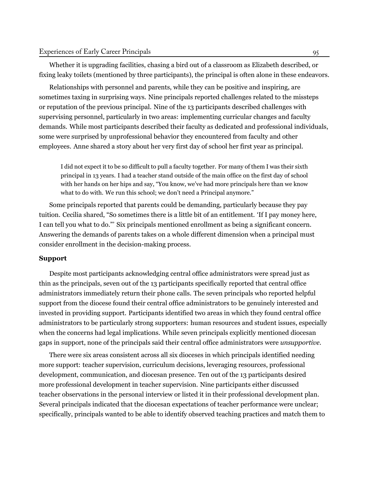Whether it is upgrading facilities, chasing a bird out of a classroom as Elizabeth described, or fixing leaky toilets (mentioned by three participants), the principal is often alone in these endeavors.

Relationships with personnel and parents, while they can be positive and inspiring, are sometimes taxing in surprising ways. Nine principals reported challenges related to the missteps or reputation of the previous principal. Nine of the 13 participants described challenges with supervising personnel, particularly in two areas: implementing curricular changes and faculty demands. While most participants described their faculty as dedicated and professional individuals, some were surprised by unprofessional behavior they encountered from faculty and other employees. Anne shared a story about her very first day of school her first year as principal.

I did not expect it to be so difficult to pull a faculty together. For many of them I was their sixth principal in 13 years. I had a teacher stand outside of the main office on the first day of school with her hands on her hips and say, "You know, we've had more principals here than we know what to do with. We run this school; we don't need a Principal anymore."

Some principals reported that parents could be demanding, particularly because they pay tuition. Cecilia shared, "So sometimes there is a little bit of an entitlement. 'If I pay money here, I can tell you what to do."' Six principals mentioned enrollment as being a significant concern. Answering the demands of parents takes on a whole different dimension when a principal must consider enrollment in the decision-making process.

## **Support**

Despite most participants acknowledging central office administrators were spread just as thin as the principals, seven out of the 13 participants specifically reported that central office administrators immediately return their phone calls. The seven principals who reported helpful support from the diocese found their central office administrators to be genuinely interested and invested in providing support. Participants identified two areas in which they found central office administrators to be particularly strong supporters: human resources and student issues, especially when the concerns had legal implications. While seven principals explicitly mentioned diocesan gaps in support, none of the principals said their central office administrators were *unsupportive.*

There were six areas consistent across all six dioceses in which principals identified needing more support: teacher supervision, curriculum decisions, leveraging resources, professional development, communication, and diocesan presence. Ten out of the 13 participants desired more professional development in teacher supervision. Nine participants either discussed teacher observations in the personal interview or listed it in their professional development plan. Several principals indicated that the diocesan expectations of teacher performance were unclear; specifically, principals wanted to be able to identify observed teaching practices and match them to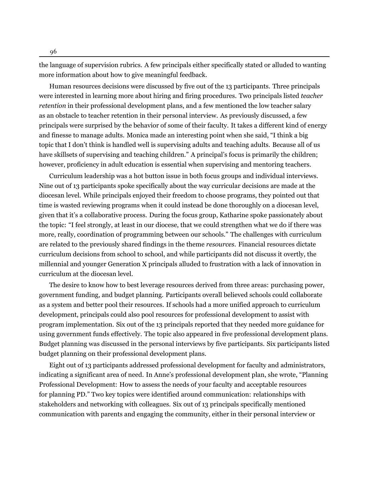the language of supervision rubrics. A few principals either specifically stated or alluded to wanting more information about how to give meaningful feedback.

Human resources decisions were discussed by five out of the 13 participants. Three principals were interested in learning more about hiring and firing procedures. Two principals listed *teacher retention* in their professional development plans, and a few mentioned the low teacher salary as an obstacle to teacher retention in their personal interview. As previously discussed, a few principals were surprised by the behavior of some of their faculty. It takes a different kind of energy and finesse to manage adults. Monica made an interesting point when she said, "I think a big topic that I don't think is handled well is supervising adults and teaching adults. Because all of us have skillsets of supervising and teaching children." A principal's focus is primarily the children; however, proficiency in adult education is essential when supervising and mentoring teachers.

Curriculum leadership was a hot button issue in both focus groups and individual interviews. Nine out of 13 participants spoke specifically about the way curricular decisions are made at the diocesan level. While principals enjoyed their freedom to choose programs, they pointed out that time is wasted reviewing programs when it could instead be done thoroughly on a diocesan level, given that it's a collaborative process. During the focus group, Katharine spoke passionately about the topic: "I feel strongly, at least in our diocese, that we could strengthen what we do if there was more, really, coordination of programming between our schools." The challenges with curriculum are related to the previously shared findings in the theme *resources.* Financial resources dictate curriculum decisions from school to school, and while participants did not discuss it overtly, the millennial and younger Generation X principals alluded to frustration with a lack of innovation in curriculum at the diocesan level.

The desire to know how to best leverage resources derived from three areas: purchasing power, government funding, and budget planning. Participants overall believed schools could collaborate as a system and better pool their resources. If schools had a more unified approach to curriculum development, principals could also pool resources for professional development to assist with program implementation. Six out of the 13 principals reported that they needed more guidance for using government funds effectively. The topic also appeared in five professional development plans. Budget planning was discussed in the personal interviews by five participants. Six participants listed budget planning on their professional development plans.

Eight out of 13 participants addressed professional development for faculty and administrators, indicating a significant area of need. In Anne's professional development plan, she wrote, "Planning Professional Development: How to assess the needs of your faculty and acceptable resources for planning PD." Two key topics were identified around communication: relationships with stakeholders and networking with colleagues. Six out of 13 principals specifically mentioned communication with parents and engaging the community, either in their personal interview or

96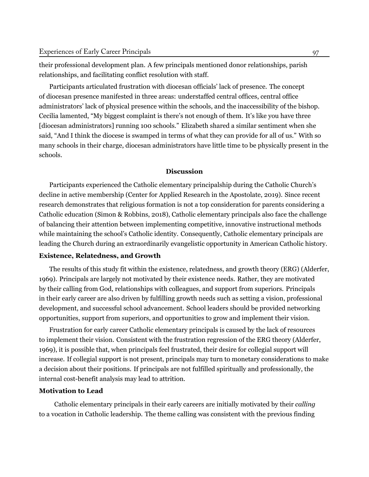their professional development plan. A few principals mentioned donor relationships, parish relationships, and facilitating conflict resolution with staff.

Participants articulated frustration with diocesan officials' lack of presence. The concept of diocesan presence manifested in three areas: understaffed central offices, central office administrators' lack of physical presence within the schools, and the inaccessibility of the bishop. Cecilia lamented, "My biggest complaint is there's not enough of them. It's like you have three [diocesan administrators] running 100 schools." Elizabeth shared a similar sentiment when she said, "And I think the diocese is swamped in terms of what they can provide for all of us." With so many schools in their charge, diocesan administrators have little time to be physically present in the schools.

#### **Discussion**

Participants experienced the Catholic elementary principalship during the Catholic Church's decline in active membership (Center for Applied Research in the Apostolate, [2019](#page-21-9)). Since recent research demonstrates that religious formation is not a top consideration for parents considering a Catholic education (Simon & [Robbins,](#page-25-8) [2018](#page-25-8)), Catholic elementary principals also face the challenge of balancing their attention between implementing competitive, innovative instructional methods while maintaining the school's Catholic identity. Consequently, Catholic elementary principals are leading the Church during an extraordinarily evangelistic opportunity in American Catholic history.

#### **Existence, Relatedness, and Growth**

The results of this study fit within the existence, relatedness, and growth theory (ERG) ([Alderfer](#page-21-8), [1969\)](#page-21-8). Principals are largely not motivated by their existence needs. Rather, they are motivated by their calling from God, relationships with colleagues, and support from superiors. Principals in their early career are also driven by fulfilling growth needs such as setting a vision, professional development, and successful school advancement. School leaders should be provided networking opportunities, support from superiors, and opportunities to grow and implement their vision.

Frustration for early career Catholic elementary principals is caused by the lack of resources to implement their vision. Consistent with the frustration regression of the ERG theory ([Alderfer](#page-21-8), [1969\)](#page-21-8), it is possible that, when principals feel frustrated, their desire for collegial support will increase. If collegial support is not present, principals may turn to monetary considerations to make a decision about their positions. If principals are not fulfilled spiritually and professionally, the internal cost-benefit analysis may lead to attrition.

## **Motivation to Lead**

Catholic elementary principals in their early careers are initially motivated by their *calling* to a vocation in Catholic leadership. The theme calling was consistent with the previous finding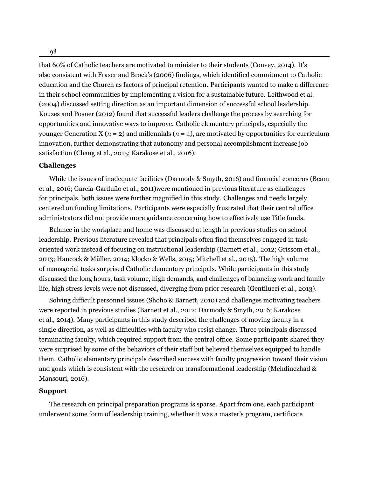98

that 60% of Catholic teachers are motivated to minister to their students [\(Convey,](#page-21-10) [2014\)](#page-21-10). It's also consistent with Fraser and Brock's [\(2006\)](#page-22-11) findings, which identified commitment to Catholic education and the Church as factors of principal retention. Participants wanted to make a difference in their school communities by implementing a vision for a sustainable future. Leithwood et al. ([2004\)](#page-23-12) discussed setting direction as an important dimension of successful school leadership. Kouzes and Posner ([2012\)](#page-23-13) found that successful leaders challenge the process by searching for opportunities and innovative ways to improve. Catholic elementary principals, especially the younger Generation X ( $n = 2$ ) and millennials ( $n = 4$ ), are motivated by opportunities for curriculum innovation, further demonstrating that autonomy and personal accomplishment increase job satisfaction ([Chang](#page-21-3) et al., [2015](#page-21-3); [Karakose](#page-23-4) et al., [2016](#page-23-4)).

#### **Challenges**

While the issues of inadequate facilities [\(Darmody](#page-22-13) & Smyth, [2016\)](#page-22-13) and financial concerns ([Beam](#page-21-2) et [al.](#page-21-2), [2016](#page-21-2); [García-Garduño](#page-22-1) et al., [2011](#page-22-1))were mentioned in previous literature as challenges for principals, both issues were further magnified in this study. Challenges and needs largely centered on funding limitations. Participants were especially frustrated that their central office administrators did not provide more guidance concerning how to effectively use Title funds.

Balance in the workplace and home was discussed at length in previous studies on school leadership. Previous literature revealed that principals often find themselves engaged in taskoriented work instead of focusing on instructional leadership [\(Barnett](#page-21-4) et al., [2012;](#page-21-4) [Grissom](#page-22-9) et al., [2013](#page-22-9); [Hancock](#page-23-3) & Müller, [2014](#page-23-3); [Klocko](#page-23-8) & Wells, [2015](#page-23-8); [Mitchell](#page-24-5) et al., [2015\)](#page-24-5). The high volume of managerial tasks surprised Catholic elementary principals. While participants in this study discussed the long hours, task volume, high demands, and challenges of balancing work and family life, high stress levels were not discussed, diverging from prior research ([Gentilucci](#page-22-6) et al., [2013\)](#page-22-6).

Solving difficult personnel issues (Shoho & [Barnett,](#page-25-5) [2010](#page-25-5)) and challenges motivating teachers were reported in previous studies [\(Barnett](#page-21-4) et al., [2012](#page-21-4); [Darmody](#page-22-13) & Smyth, [2016](#page-22-13); [Karakose](#page-23-2) et [al.](#page-23-2), [2014](#page-23-2)). Many participants in this study described the challenges of moving faculty in a single direction, as well as difficulties with faculty who resist change. Three principals discussed terminating faculty, which required support from the central office. Some participants shared they were surprised by some of the behaviors of their staff but believed themselves equipped to handle them. Catholic elementary principals described success with faculty progression toward their vision and goals which is consistent with the research on transformational leadership [\(Mehdinezhad](#page-23-14) & [Mansouri](#page-23-14), [2016\)](#page-23-14).

## **Support**

The research on principal preparation programs is sparse. Apart from one, each participant underwent some form of leadership training, whether it was a master's program, certificate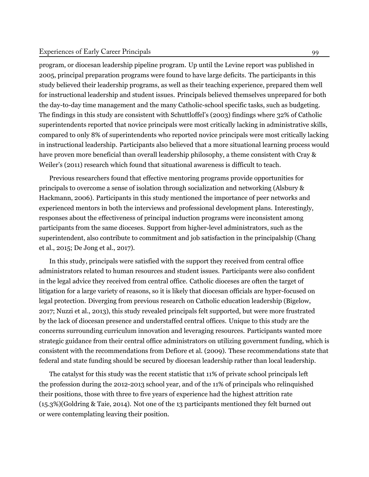## Experiences of Early Career Principals 99

program, or diocesan leadership pipeline program. Up until the Levine report was published in 2005, principal preparation programs were found to have large deficits. The participants in this study believed their leadership programs, as well as their teaching experience, prepared them well for instructional leadership and student issues. Principals believed themselves unprepared for both the day-to-day time management and the many Catholic-school specific tasks, such as budgeting. The findings in this study are consistent with Schuttloffel's [\(2003\)](#page-25-3) findings where 32% of Catholic superintendents reported that novice principals were most critically lacking in administrative skills, compared to only 8% of superintendents who reported novice principals were most critically lacking in instructional leadership. Participants also believed that a more situational learning process would have proven more beneficial than overall leadership philosophy, a theme consistent with Cray & Weiler's ([2011\)](#page-22-7) research which found that situational awareness is difficult to teach.

Previous researchers found that effective mentoring programs provide opportunities for principals to overcome a sense of isolation through socialization and networking [\(Alsbury](#page-21-11) & [Hackmann,](#page-21-11) [2006](#page-21-11)). Participants in this study mentioned the importance of peer networks and experienced mentors in both the interviews and professional development plans. Interestingly, responses about the effectiveness of principal induction programs were inconsistent among participants from the same dioceses. Support from higher-level administrators, such as the superintendent, also contribute to commitment and job satisfaction in the principalship [\(Chang](#page-21-3) et [al.](#page-21-3), [2015;](#page-21-3) De [Jong](#page-22-8) et al., [2017\)](#page-22-8).

In this study, principals were satisfied with the support they received from central office administrators related to human resources and student issues. Participants were also confident in the legal advice they received from central office. Catholic dioceses are often the target of litigation for a large variety of reasons, so it is likely that diocesan officials are hyper-focused on legal protection. Diverging from previous research on Catholic education leadership ([Bigelow,](#page-21-6) [2017;](#page-21-6) [Nuzzi](#page-24-11) et al., [2013](#page-24-11)), this study revealed principals felt supported, but were more frustrated by the lack of diocesan presence and understaffed central offices. Unique to this study are the concerns surrounding curriculum innovation and leveraging resources. Participants wanted more strategic guidance from their central office administrators on utilizing government funding, which is consistent with the recommendations from [Defiore](#page-22-3) et al. [\(2009\)](#page-22-3). These recommendations state that federal and state funding should be secured by diocesan leadership rather than local leadership.

The catalyst for this study was the recent statistic that 11% of private school principals left the profession during the 2012-2013 school year, and of the 11% of principals who relinquished their positions, those with three to five years of experience had the highest attrition rate (15.3%)[\(Goldring](#page-22-0) & Taie, [2014](#page-22-0)). Not one of the 13 participants mentioned they felt burned out or were contemplating leaving their position.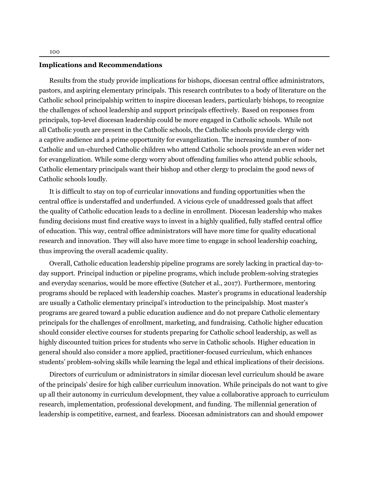#### **Implications and Recommendations**

Results from the study provide implications for bishops, diocesan central office administrators, pastors, and aspiring elementary principals. This research contributes to a body of literature on the Catholic school principalship written to inspire diocesan leaders, particularly bishops, to recognize the challenges of school leadership and support principals effectively. Based on responses from principals, top-level diocesan leadership could be more engaged in Catholic schools. While not all Catholic youth are present in the Catholic schools, the Catholic schools provide clergy with a captive audience and a prime opportunity for evangelization. The increasing number of non-Catholic and un-churched Catholic children who attend Catholic schools provide an even wider net for evangelization. While some clergy worry about offending families who attend public schools, Catholic elementary principals want their bishop and other clergy to proclaim the good news of Catholic schools loudly.

It is difficult to stay on top of curricular innovations and funding opportunities when the central office is understaffed and underfunded. A vicious cycle of unaddressed goals that affect the quality of Catholic education leads to a decline in enrollment. Diocesan leadership who makes funding decisions must find creative ways to invest in a highly qualified, fully staffed central office of education. This way, central office administrators will have more time for quality educational research and innovation. They will also have more time to engage in school leadership coaching, thus improving the overall academic quality.

Overall, Catholic education leadership pipeline programs are sorely lacking in practical day-today support. Principal induction or pipeline programs, which include problem-solving strategies and everyday scenarios, would be more effective ([Sutcher et al.](#page-25-9), [2017\)](#page-25-9). Furthermore, mentoring programs should be replaced with leadership coaches. Master's programs in educational leadership are usually a Catholic elementary principal's introduction to the principalship. Most master's programs are geared toward a public education audience and do not prepare Catholic elementary principals for the challenges of enrollment, marketing, and fundraising. Catholic higher education should consider elective courses for students preparing for Catholic school leadership, as well as highly discounted tuition prices for students who serve in Catholic schools. Higher education in general should also consider a more applied, practitioner-focused curriculum, which enhances students' problem-solving skills while learning the legal and ethical implications of their decisions.

Directors of curriculum or administrators in similar diocesan level curriculum should be aware of the principals' desire for high caliber curriculum innovation. While principals do not want to give up all their autonomy in curriculum development, they value a collaborative approach to curriculum research, implementation, professional development, and funding. The millennial generation of leadership is competitive, earnest, and fearless. Diocesan administrators can and should empower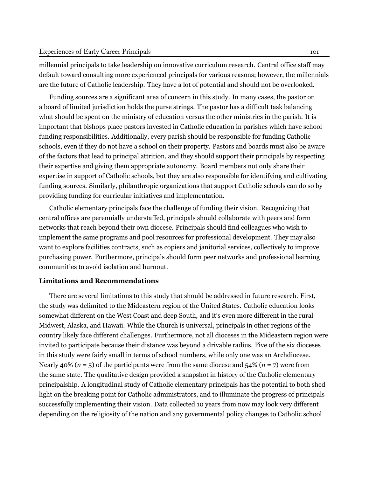millennial principals to take leadership on innovative curriculum research. Central office staff may default toward consulting more experienced principals for various reasons; however, the millennials are the future of Catholic leadership. They have a lot of potential and should not be overlooked.

Funding sources are a significant area of concern in this study. In many cases, the pastor or a board of limited jurisdiction holds the purse strings. The pastor has a difficult task balancing what should be spent on the ministry of education versus the other ministries in the parish. It is important that bishops place pastors invested in Catholic education in parishes which have school funding responsibilities. Additionally, every parish should be responsible for funding Catholic schools, even if they do not have a school on their property. Pastors and boards must also be aware of the factors that lead to principal attrition, and they should support their principals by respecting their expertise and giving them appropriate autonomy. Board members not only share their expertise in support of Catholic schools, but they are also responsible for identifying and cultivating funding sources. Similarly, philanthropic organizations that support Catholic schools can do so by providing funding for curricular initiatives and implementation.

Catholic elementary principals face the challenge of funding their vision. Recognizing that central offices are perennially understaffed, principals should collaborate with peers and form networks that reach beyond their own diocese. Principals should find colleagues who wish to implement the same programs and pool resources for professional development. They may also want to explore facilities contracts, such as copiers and janitorial services, collectively to improve purchasing power. Furthermore, principals should form peer networks and professional learning communities to avoid isolation and burnout.

## **Limitations and Recommendations**

There are several limitations to this study that should be addressed in future research. First, the study was delimited to the Mideastern region of the United States. Catholic education looks somewhat different on the West Coast and deep South, and it's even more different in the rural Midwest, Alaska, and Hawaii. While the Church is universal, principals in other regions of the country likely face different challenges. Furthermore, not all dioceses in the Mideastern region were invited to participate because their distance was beyond a drivable radius. Five of the six dioceses in this study were fairly small in terms of school numbers, while only one was an Archdiocese. Nearly 40% ( $n = 5$ ) of the participants were from the same diocese and 54% ( $n = 7$ ) were from the same state. The qualitative design provided a snapshot in history of the Catholic elementary principalship. A longitudinal study of Catholic elementary principals has the potential to both shed light on the breaking point for Catholic administrators, and to illuminate the progress of principals successfully implementing their vision. Data collected 10 years from now may look very different depending on the religiosity of the nation and any governmental policy changes to Catholic school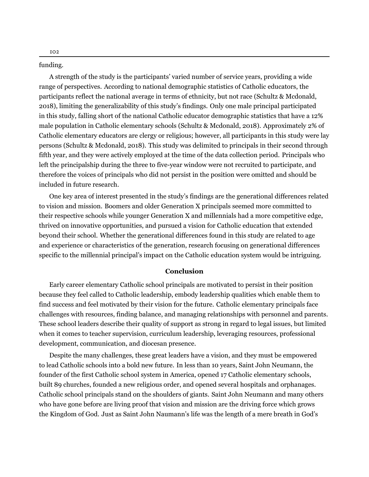funding.

A strength of the study is the participants' varied number of service years, providing a wide range of perspectives. According to national demographic statistics of Catholic educators, the participants reflect the national average in terms of ethnicity, but not race ([Schultz & Mcdonald,](#page-24-12) [2018\)](#page-24-12), limiting the generalizability of this study's findings. Only one male principal participated in this study, falling short of the national Catholic educator demographic statistics that have a 12% male population in Catholic elementary schools ([Schultz & Mcdonald,](#page-24-12) [2018](#page-24-12)). Approximately 2% of Catholic elementary educators are clergy or religious; however, all participants in this study were lay persons [\(Schultz & Mcdonald](#page-24-12), [2018\)](#page-24-12). This study was delimited to principals in their second through fifth year, and they were actively employed at the time of the data collection period. Principals who left the principalship during the three to five-year window were not recruited to participate, and therefore the voices of principals who did not persist in the position were omitted and should be included in future research.

One key area of interest presented in the study's findings are the generational differences related to vision and mission. Boomers and older Generation X principals seemed more committed to their respective schools while younger Generation X and millennials had a more competitive edge, thrived on innovative opportunities, and pursued a vision for Catholic education that extended beyond their school. Whether the generational differences found in this study are related to age and experience or characteristics of the generation, research focusing on generational differences specific to the millennial principal's impact on the Catholic education system would be intriguing.

## **Conclusion**

Early career elementary Catholic school principals are motivated to persist in their position because they feel called to Catholic leadership, embody leadership qualities which enable them to find success and feel motivated by their vision for the future. Catholic elementary principals face challenges with resources, finding balance, and managing relationships with personnel and parents. These school leaders describe their quality of support as strong in regard to legal issues, but limited when it comes to teacher supervision, curriculum leadership, leveraging resources, professional development, communication, and diocesan presence.

Despite the many challenges, these great leaders have a vision, and they must be empowered to lead Catholic schools into a bold new future. In less than 10 years, Saint John Neumann, the founder of the first Catholic school system in America, opened 17 Catholic elementary schools, built 89 churches, founded a new religious order, and opened several hospitals and orphanages. Catholic school principals stand on the shoulders of giants. Saint John Neumann and many others who have gone before are living proof that vision and mission are the driving force which grows the Kingdom of God. Just as Saint John Naumann's life was the length of a mere breath in God's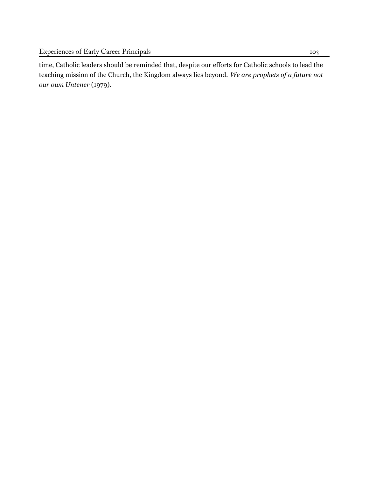time, Catholic leaders should be reminded that, despite our efforts for Catholic schools to lead the teaching mission of the Church, the Kingdom always lies beyond. *We are prophets of a future not our own [Untener](#page-25-10)* [\(1979\)](#page-25-10).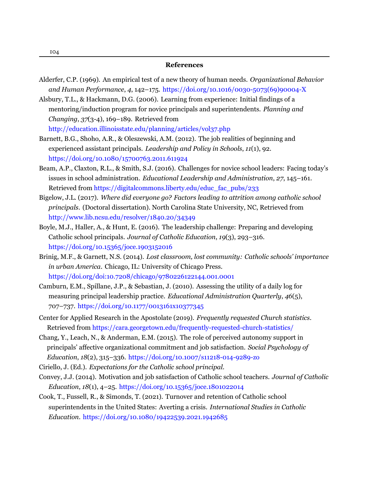- <span id="page-21-8"></span>Alderfer, C.P. (1969). An empirical test of a new theory of human needs. *Organizational Behavior and Human Performance*, *4*, 142–175. [https://doi.org/10.1016/0030-5073\(69\)90004-X](https://doi.org/10.1016/0030-5073(69)90004-X)
- <span id="page-21-11"></span>Alsbury, T.L., & Hackmann, D.G. (2006). Learning from experience: Initial findings of a mentoring/induction program for novice principals and superintendents. *Planning and Changing*, *37*(3-4), 169–189. [Retrieved from](http://education.illinoisstate.edu/planning/articles/vol37.php) <http://education.illinoisstate.edu/planning/articles/vol37.php>
- <span id="page-21-4"></span>Barnett, B.G., Shoho, A.R., & Oleszewski, A.M. (2012). The job realities of beginning and experienced assistant principals. *Leadership and Policy in Schools*, *11*(1), 92. <https://doi.org/10.1080/15700763.2011.611924>
- <span id="page-21-2"></span>Beam, A.P., Claxton, R.L., & Smith, S.J. (2016). Challenges for novice school leaders: Facing today's issues in school administration. *Educational Leadership and Administration*, *27*, 145–161. Retrieved from [https://digitalcommons.liberty.edu/educ\\_fac\\_pubs/233](https://digitalcommons.liberty.edu/educ_fac_pubs/233)
- <span id="page-21-6"></span>Bigelow, J.L. (2017). *Where did everyone go? Factors leading to attrition among catholic school principals*. (Doctoral dissertation). North Carolina State University, NC, [Retrieved](http://www.lib.ncsu.edu/resolver/1840.20/34349) from <http://www.lib.ncsu.edu/resolver/1840.20/34349>
- <span id="page-21-1"></span>Boyle, M.J., Haller, A., & Hunt, E. (2016). The leadership challenge: Preparing and developing Catholic school principals. *Journal of Catholic Education*, *19*(3), 293–316. <https://doi.org/10.15365/joce.1903152016>
- <span id="page-21-0"></span>Brinig, M.F., & Garnett, N.S. (2014). *Lost classroom, lost community: Catholic schools' importance in urban America*. Chicago, IL: University of Chicago Press. <https://doi.org/doi:10.7208/chicago/9780226122144.001.0001>
- <span id="page-21-5"></span>Camburn, E.M., Spillane, J.P., & Sebastian, J. (2010). Assessing the utility of a daily log for measuring principal leadership practice. *Educational Administration Quarterly*, *46*(5), 707–737. <https://doi.org/10.1177/0013161x10377345>
- <span id="page-21-9"></span>Center for Applied Research in the Apostolate (2019). *Frequently requested Church statistics*. Retrieved from <https://cara.georgetown.edu/frequently-requested-church-statistics/>
- <span id="page-21-3"></span>Chang, Y., Leach, N., & Anderman, E.M. (2015). The role of perceived autonomy support in principals' affective organizational commitment and job satisfaction. *Social Psychology of Education*, *18*(2), 315–336. <https://doi.org/10.1007/s11218-014-9289-zo>
- <span id="page-21-10"></span>Ciriello, J. (Ed.). *Expectations for the Catholic school principal*.
- Convey, J.J. (2014). Motivation and job satisfaction of Catholic school teachers. *Journal of Catholic Education*, *18*(1), 4–25. <https://doi.org/10.15365/joce.1801022014>
- <span id="page-21-7"></span>Cook, T., Fussell, R., & Simonds, T. (2021). Turnover and retention of Catholic school superintendents in the United States: Averting a crisis. *International Studies in Catholic Education*. <https://doi.org/10.1080/19422539.2021.1942685>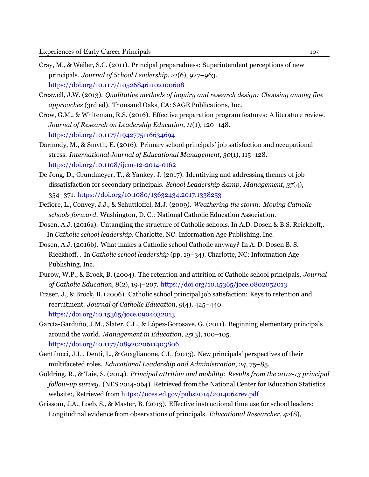- <span id="page-22-7"></span>Cray, M., & Weiler, S.C. (2011). Principal preparedness: Superintendent perceptions of new principals. *Journal of School Leadership*, *21*(6), 927–963. <https://doi.org/10.1177/105268461102100608>
- <span id="page-22-12"></span>Creswell, J.W. (2013). *Qualitative methods of inquiry and research design: Choosing among five approaches* (3rd ed). Thousand Oaks, CA: SAGE Publications, Inc.
- <span id="page-22-5"></span>Crow, G.M., & Whiteman, R.S. (2016). Effective preparation program features: A literature review. *Journal of Research on Leadership Education*, *11*(1), 120–148. <https://doi.org/10.1177/1942775116634694>
- <span id="page-22-13"></span>Darmody, M., & Smyth, E. (2016). Primary school principals' job satisfaction and occupational stress. *International Journal of Educational Management*, *30*(1), 115–128. <https://doi.org/10.1108/ijem-12-2014-0162>
- <span id="page-22-8"></span>De Jong, D., Grundmeyer, T., & Yankey, J. (2017). Identifying and addressing themes of job dissatisfaction for secondary principals. *School Leadership & Management*, *37*(4), 354–371. <https://doi.org/10.1080/13632434.2017.1338253>
- <span id="page-22-3"></span>Defiore, L., Convey, J.J., & Schuttloffel, M.J. (2009). *Weathering the storm: Moving Catholic schools forward*. Washington, D. C.: National Catholic Education Association.
- <span id="page-22-2"></span>Dosen, A.J. (2016a). Untangling the structure of Catholic schools. In A.D. Dosen & B.S. Reickhoff,. In *Catholic school leadership*. Charlotte, NC: Information Age Publishing, Inc.
- <span id="page-22-4"></span>Dosen, A.J. (2016b). What makes a Catholic school Catholic anyway? In A. D. Dosen B. S. Rieckhoff, . In *Catholic school leadership* (pp. 19–34). Charlotte, NC: Information Age Publishing, Inc.
- <span id="page-22-10"></span>Durow, W.P., & Brock, B. (2004). The retention and attrition of Catholic school principals. *Journal of Catholic Education*, *8*(2), 194–207. <https://doi.org/10.15365/joce.0802052013>
- <span id="page-22-11"></span>Fraser, J., & Brock, B. (2006). Catholic school principal job satisfaction: Keys to retention and recruitment. *Journal of Catholic Education*, *9*(4), 425–440. <https://doi.org/10.15365/joce.0904032013>
- <span id="page-22-1"></span>García-Garduño, J.M., Slater, C.L., & López-Gorosave, G. (2011). Beginning elementary principals around the world. *Management in Education*, *25*(3), 100–105. <https://doi.org/10.1177/0892020611403806>
- <span id="page-22-6"></span>Gentilucci, J.L., Denti, L., & Guaglianone, C.L. (2013). New principals' perspectives of their multifaceted roles. *Educational Leadership and Administration*, *24*, 75–85.
- <span id="page-22-0"></span>Goldring, R., & Taie, S. (2014). *Principal attrition and mobility: Results from the 2012-13 principal follow-up survey*. (NES 2014-064). Retrieved from the National Center for Education Statistics website:, Retrieved from <https://nces.ed.gov/pubs2014/2014064rev.pdf>
- <span id="page-22-9"></span>Grissom, J.A., Loeb, S., & Master, B. (2013). Effective instructional time use for school leaders: Longitudinal evidence from observations of principals. *Educational Researcher*, *42*(8),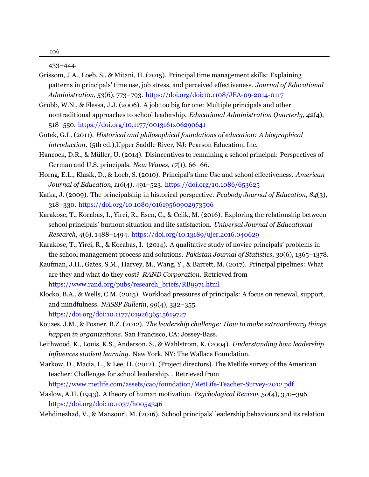433–444.

- <span id="page-23-7"></span>Grissom, J.A., Loeb, S., & Mitani, H. (2015). Principal time management skills: Explaining patterns in principals' time use, job stress, and perceived effectiveness. *Journal of Educational Administration*, *53*(6), 773–793. <https://doi.org/doi:10.1108/JEA-09-2014-0117>
- <span id="page-23-6"></span>Grubb, W.N., & Flessa, J.J. (2006). A job too big for one: Multiple principals and other nontraditional approaches to school leadership. *Educational Administration Quarterly*, *42*(4), 518–550. <https://doi.org/10.1177/0013161x06290641>
- <span id="page-23-1"></span>Gutek, G.L. (2011). *Historical and philosophical foundations of education: A biographical introduction*. (5th ed.),Upper Saddle River, NJ: Pearson Education, Inc.
- <span id="page-23-3"></span>Hancock, D.R., & Müller, U. (2014). Disincentives to remaining a school principal: Perspectives of German and U.S. principals. *New Waves*, *17*(1), 66–66.
- <span id="page-23-9"></span>Horng, E.L., Klasik, D., & Loeb, S. (2010). Principal's time Use and school effectiveness. *American Journal of Education*, *116*(4), 491–523. <https://doi.org/10.1086/653625>
- <span id="page-23-0"></span>Kafka, J. (2009). The principalship in historical perspective. *Peabody Journal of Education*, *84*(3), 318–330. <https://doi.org/10.1080/01619560902973506>
- <span id="page-23-4"></span>Karakose, T., Kocabas, I., Yirci, R., Esen, C., & Celik, M. (2016). Exploring the relationship between school principals' burnout situation and life satisfaction. *Universal Journal of Educational Research*, *4*(6), 1488–1494. <https://doi.org/10.13189/ujer.2016.040629>
- <span id="page-23-2"></span>Karakose, T., Yirci, R., & Kocabas, I. (2014). A qualitative study of novice principals' problems in the school management process and solutions. *Pakistan Journal of Statistics*, *30*(6), 1365–1378.
- <span id="page-23-10"></span>Kaufman, J.H., Gates, S.M., Harvey, M., Wang, Y., & Barrett, M. (2017). Principal pipelines: What are they and what do they cost? *RAND Corporation*. [Retrieved](https://www.rand.org/pubs/research_briefs/RB9971.html) from [https://www.rand.org/pubs/research\\_briefs/RB9971.html](https://www.rand.org/pubs/research_briefs/RB9971.html)
- <span id="page-23-8"></span>Klocko, B.A., & Wells, C.M. (2015). Workload pressures of principals: A focus on renewal, support, and mindfulness. *NASSP Bulletin*, *99*(4), 332–355. <https://doi.org/doi:10.1177/0192636515619727>
- <span id="page-23-13"></span>Kouzes, J.M., & Posner, B.Z. (2012). *The leadership challenge: How to make extraordinary things happen in organizations*. San Francisco, CA: Jossey-Bass.
- <span id="page-23-12"></span>Leithwood, K., Louis, K.S., Anderson, S., & Wahlstrom, K. (2004). *Understanding how leadership influences student learning*. New York, NY: The Wallace Foundation.
- <span id="page-23-5"></span>Markow, D., Macia, L., & Lee, H. (2012). (Project directors). The Metlife survey of the American teacher: Challenges for school leadership. . [Retrieved](https://www.metlife.com/assets/cao/foundation/MetLife-Teacher-Survey-2012.pdf) from <https://www.metlife.com/assets/cao/foundation/MetLife-Teacher-Survey-2012.pdf>
- <span id="page-23-11"></span>Maslow, A.H. (1943). A theory of human motivation. *Psychological Review*, *50*(4), 370–396. <https://doi.org/doi:10.1037/h0054346>
- <span id="page-23-14"></span>Mehdinezhad, V., & Mansouri, M. (2016). School principals' leadership behaviours and its relation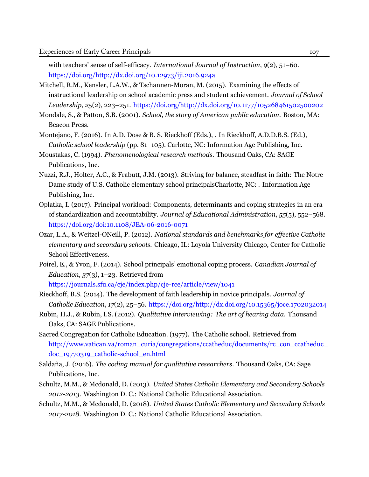<span id="page-24-0"></span>with teachers' sense of self-efficacy. *International Journal of Instruction*, *9*(2), 51–60. <https://doi.org/http://dx.doi.org/10.12973/iji.2016.924a>

- <span id="page-24-5"></span>Mitchell, R.M., Kensler, L.A.W., & Tschannen-Moran, M. (2015). Examining the effects of instructional leadership on school academic press and student achievement. *Journal of School Leadership*, *25*(2), 223–251. <https://doi.org/http://dx.doi.org/10.1177/105268461502500202>
- Mondale, S., & Patton, S.B. (2001). *School, the story of American public education*. Boston, MA: Beacon Press.
- <span id="page-24-4"></span>Montejano, F. (2016). In A.D. Dose & B. S. Rieckhoff (Eds.), . In Rieckhoff, A.D.D.B.S. (Ed.), *Catholic school leadership* (pp. 81–105). Carlotte, NC: Information Age Publishing, Inc.
- <span id="page-24-8"></span>Moustakas, C. (1994). *Phenomenological research methods*. Thousand Oaks, CA: SAGE Publications, Inc.
- <span id="page-24-11"></span>Nuzzi, R.J., Holter, A.C., & Frabutt, J.M. (2013). Striving for balance, steadfast in faith: The Notre Dame study of U.S. Catholic elementary school principalsCharlotte, NC: . Information Age Publishing, Inc.
- <span id="page-24-6"></span>Oplatka, I. (2017). Principal workload: Components, determinants and coping strategies in an era of standardization and accountability. *Journal of Educational Administration*, *55*(5), 552–568. <https://doi.org/doi:10.1108/JEA-06-2016-0071>
- <span id="page-24-3"></span>Ozar, L.A., & Weitzel-ONeill, P. (2012). *National standards and benchmarks for effective Catholic elementary and secondary schools*. Chicago, IL: Loyola University Chicago, Center for Catholic School Effectiveness.
- <span id="page-24-7"></span>Poirel, E., & Yvon, F. (2014). School principals' emotional coping process. *Canadian Journal of Education*, *37*(3), 1–23. [Retrieved from](https://journals.sfu.ca/cje/index.php/cje-rce/article/view/1041)

<https://journals.sfu.ca/cje/index.php/cje-rce/article/view/1041>

- <span id="page-24-2"></span>Rieckhoff, B.S. (2014). The development of faith leadership in novice principals. *Journal of Catholic Education*, *17*(2), 25–56. <https://doi.org/http://dx.doi.org/10.15365/joce.1702032014>
- Rubin, H.J., & Rubin, I.S. (2012). *Qualitative interviewing: The art of hearing data*. Thousand Oaks, CA: SAGE Publications.
- <span id="page-24-1"></span>Sacred Congregation for Catholic Education. (1977). The Catholic school. [Retrieved](http://www.vatican.va/roman_curia/congregations/ccatheduc/documents/rc_con_ccatheduc_doc_19770319_catholic-school_en.html) from [http://www.vatican.va/roman\\_curia/congregations/ccatheduc/documents/rc\\_con\\_ccatheduc\\_](http://www.vatican.va/roman_curia/congregations/ccatheduc/documents/rc_con_ccatheduc_doc_19770319_catholic-school_en.html) [doc\\_19770319\\_catholic-school\\_en.html](http://www.vatican.va/roman_curia/congregations/ccatheduc/documents/rc_con_ccatheduc_doc_19770319_catholic-school_en.html)
- <span id="page-24-10"></span>Saldaña, J. (2016). *The coding manual for qualitative researchers*. Thousand Oaks, CA: Sage Publications, Inc.
- <span id="page-24-9"></span>Schultz, M.M., & Mcdonald, D. (2013). *United States Catholic Elementary and Secondary Schools 2012-2013*. Washington D. C.: National Catholic Educational Association.
- <span id="page-24-12"></span>Schultz, M.M., & Mcdonald, D. (2018). *United States Catholic Elementary and Secondary Schools 2017-2018*. Washington D. C.: National Catholic Educational Association.